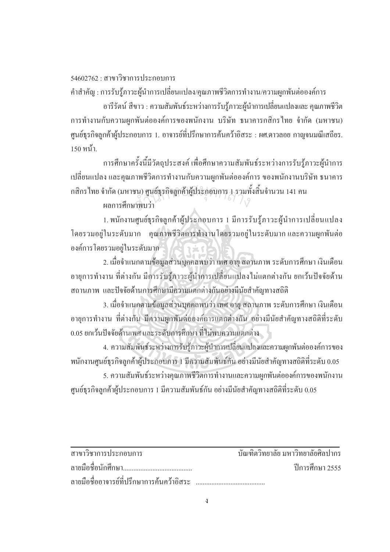$54602762 \cdot \text{G}$ ขาบวิชาการประกอบการ

้คำสำคัญ : การรับรู้ภาวะผู้นำการเปลี่ยนแปลง/คุณภาพชีวิตการทำงาน/ความผูกพันต่อองค์การ

ือารีรัตน์ สีขาว : ความสัมพันธ์ระหว่างการรับรู้ภาวะผู้นำการเปลี่ยนแปลงและ คุณภาพชีวิต การทำงานกับความผูกพันต่อองค์การของพนักงาน บริษัท ธนาคารกสิกรไทย จำกัด (มหาชน) ศูนย์ธุรกิจลูกค้าผู้ประกอบการ 1. อาจารย์ที่ปรึกษาการค้นคว้าอิสระ : ผศ.ดาวลอย กาญจนมณีเสถียร. 150 หน้า

การศึกษาครั้งนี้มีวัตถุประสงค์ เพื่อศึกษาความสัมพันธ์ระหว่างการรับรู้ภาวะผู้นำการ .<br>.<br>. ้ เปลี่ยนแปลง และคุณภาพชีวิตการทำงานกับความผูกพันต่อองค์การ ของพนักงานบริษัท ธนาคาร กสิกรไทย จำกัด (มหาชน) ศูนย์ธุรกิจลูกค้าผู้ประกอบการ 1 รวมทั้งสิ้นจำนวน 141 คน<br>ผลการศึกษาพบว่า ·Ê

่<br>ผลการศึกษาพบว่า

1. พนักงานศูนย์ธุรกิจลูกค้าผู้ประกอบการ 1 มีการรับรู้ภาวะผู้นำการเปลี่ยนแปลง โดยรวมอยู่ในระดับมาก คุณภาพชีวิตการทำงานโดยรวมอยู่ในระดับมากและความผูกพันต่อ ื่องค์การโดยรวมอยู่ในระดับมาก

2. เมื่อจำแนกตามข้อมูลส่วนบุกคลพบว่า เพศ อายุ สถานภาพ ระดับการศึกษา เงินเดือน ºÉ ือายุการทำงาน ที่ต่างกัน มีการรับรู้ภาวะผู้นำการเปลี่ยนแปลงไม่แตกต่างกัน ยกเว้นปัจจัยด้าน ิสถานภาพ และปัจจัยด้านการศึกษามีความแตกต่างกันอย่างมีนัยสำคัญทางสถิติ

3. เมื่อจำแนกตามข้อมูลส่วนบุกคลพบว่า เพศ อายุ สถานภาพ ระดับการศึกษา เงินเดือน ือายุการทำงาน ที่ต่างกัน มีความผูกพันต่อองค์การแตกต่างกัน อย่างมีนัยสำคัญทางสถิติที่ระดับ 0.05 ยกเว้นปัจจัยด้านเพศ และระดับการศึกษา ที่ไม่พบความแตกต่าง

4. ความสัมพันธ์ระหว่างการรับรู้ภาวะผู้นำการเปลี่ยนแปลงและความผูกพันต่อองค์การของ ำพนักงานศูนย์ธุรกิจลูกค้าผู้ประกอบการ 1 มีความสัมพันธ์กัน อย่างมีนัยสำคัญทางสถิติที่ระดับ 0.05

5. ความสัมพันธ์ระหว่างคุณภาพชีวิตการทำงานและความผูกพันต่อองค์การของพนักงาน ศูนย์ธุรกิจลูกค้าผู้ประกอบการ 1 มีความสัมพันธ์กัน อย่างมีนัยสำคัญทางสถิติที่ระดับ 0.05

| สาขาวิชาการประกอบการ                          | ำเันฑิตวิทยาลัย มหาวิทยาลัยศิลปากร |
|-----------------------------------------------|------------------------------------|
|                                               | ์ ปีการศึกษา 2555                  |
| ิ ลายมือชื่ออาจารย์ที่ปรึกษาการค้นคว้าอิสระ … |                                    |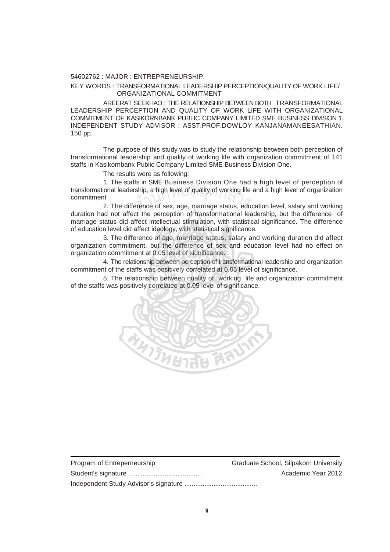## 54602762 : MAJOR : ENTREPRENEURSHIP

## KEY WORDS : TRANSFORMATIONAL LEADERSHIP PERCEPTION/QUALITY OF WORK LIFE/ ORGANIZATIONAL COMMITMENT

 AREERAT SEEKHAO : THE RELATIONSHIP BETWEEN BOTH TRANSFORMATIONAL LEADERSHIP PERCEPTION AND QUALITY OF WORK LIFE WITH ORGANIZATIONAL COMMITMENT OF KASIKORNBANK PUBLIC COMPANY LIMITED SME BUSINESS DIVISION 1. INDEPENDENT STUDY ADVISOR : ASST.PROF.DOWLOY KANJANAMANEESATHIAN. 150 pp.

 The purpose of this study was to study the relationship between both perception of transformational leadership and quality of working life with organization commitment of 141 staffs in Kasikornbank Public Company Limited SME Business Division One.

The results were as following:

 1. The staffs in SME Business Division One had a high level of perception of transformational leadership, a high level of quality of working life and a high level of organization commitment<br>2. The difference of sex, age, marriage status, education level, salary and working commitment

2. The difference of sex, age, marriage status, education level, salary and working duration had not affect the perception of transformational leadership, but the difference of marriage status did affect intellectual stimulation, with statistical significance. The difference of education level did affect ideology, with statistical significance.

3. The difference of age, marriage status, salary and working duration did affect organization commitment, but the difference of sex and education level had no effect on organization commitment at 0.05 level of significance.

 4. The relationship between perception of transformational leadership and organization commitment of the staffs was positively correlated at 0.05 level of significance.

5. The relationship between quality of working life and organization commitment of the staffs was positively correlated at 0.05 level of significance.



| Program of Entreperneurship | Graduate School, Silpakorn University |
|-----------------------------|---------------------------------------|
|                             | Academic Year 2012                    |
|                             |                                       |